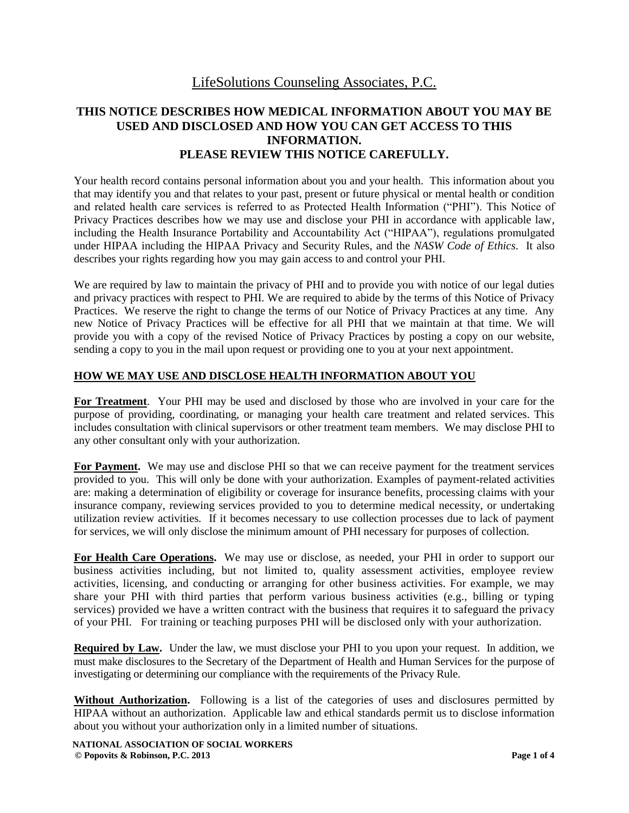# LifeSolutions Counseling Associates, P.C.

## **THIS NOTICE DESCRIBES HOW MEDICAL INFORMATION ABOUT YOU MAY BE USED AND DISCLOSED AND HOW YOU CAN GET ACCESS TO THIS INFORMATION. PLEASE REVIEW THIS NOTICE CAREFULLY.**

Your health record contains personal information about you and your health. This information about you that may identify you and that relates to your past, present or future physical or mental health or condition and related health care services is referred to as Protected Health Information ("PHI"). This Notice of Privacy Practices describes how we may use and disclose your PHI in accordance with applicable law, including the Health Insurance Portability and Accountability Act ("HIPAA"), regulations promulgated under HIPAA including the HIPAA Privacy and Security Rules, and the *NASW Code of Ethics*. It also describes your rights regarding how you may gain access to and control your PHI.

We are required by law to maintain the privacy of PHI and to provide you with notice of our legal duties and privacy practices with respect to PHI. We are required to abide by the terms of this Notice of Privacy Practices. We reserve the right to change the terms of our Notice of Privacy Practices at any time. Any new Notice of Privacy Practices will be effective for all PHI that we maintain at that time. We will provide you with a copy of the revised Notice of Privacy Practices by posting a copy on our website, sending a copy to you in the mail upon request or providing one to you at your next appointment.

#### **HOW WE MAY USE AND DISCLOSE HEALTH INFORMATION ABOUT YOU**

**For Treatment**.Your PHI may be used and disclosed by those who are involved in your care for the purpose of providing, coordinating, or managing your health care treatment and related services. This includes consultation with clinical supervisors or other treatment team members. We may disclose PHI to any other consultant only with your authorization.

**For Payment.** We may use and disclose PHI so that we can receive payment for the treatment services provided to you. This will only be done with your authorization. Examples of payment-related activities are: making a determination of eligibility or coverage for insurance benefits, processing claims with your insurance company, reviewing services provided to you to determine medical necessity, or undertaking utilization review activities. If it becomes necessary to use collection processes due to lack of payment for services, we will only disclose the minimum amount of PHI necessary for purposes of collection.

**For Health Care Operations.** We may use or disclose, as needed, your PHI in order to support our business activities including, but not limited to, quality assessment activities, employee review activities, licensing, and conducting or arranging for other business activities. For example, we may share your PHI with third parties that perform various business activities (e.g., billing or typing services) provided we have a written contract with the business that requires it to safeguard the privacy of your PHI. For training or teaching purposes PHI will be disclosed only with your authorization.

**Required by Law.** Under the law, we must disclose your PHI to you upon your request. In addition, we must make disclosures to the Secretary of the Department of Health and Human Services for the purpose of investigating or determining our compliance with the requirements of the Privacy Rule.

**Without Authorization.** Following is a list of the categories of uses and disclosures permitted by HIPAA without an authorization. Applicable law and ethical standards permit us to disclose information about you without your authorization only in a limited number of situations.

**NATIONAL ASSOCIATION OF SOCIAL WORKERS © Popovits & Robinson, P.C. 2013 Page 1 of 4**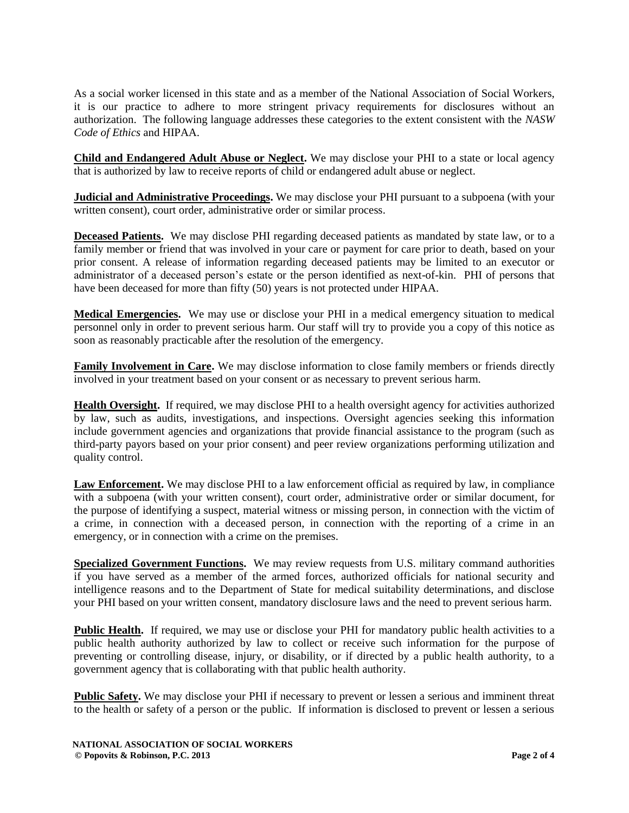As a social worker licensed in this state and as a member of the National Association of Social Workers, it is our practice to adhere to more stringent privacy requirements for disclosures without an authorization.The following language addresses these categories to the extent consistent with the *NASW Code of Ethics* and HIPAA.

**Child and Endangered Adult Abuse or Neglect.** We may disclose your PHI to a state or local agency that is authorized by law to receive reports of child or endangered adult abuse or neglect.

**Judicial and Administrative Proceedings.** We may disclose your PHI pursuant to a subpoena (with your written consent), court order, administrative order or similar process.

**Deceased Patients.** We may disclose PHI regarding deceased patients as mandated by state law, or to a family member or friend that was involved in your care or payment for care prior to death, based on your prior consent. A release of information regarding deceased patients may be limited to an executor or administrator of a deceased person's estate or the person identified as next-of-kin. PHI of persons that have been deceased for more than fifty (50) years is not protected under HIPAA.

**Medical Emergencies.** We may use or disclose your PHI in a medical emergency situation to medical personnel only in order to prevent serious harm. Our staff will try to provide you a copy of this notice as soon as reasonably practicable after the resolution of the emergency.

**Family Involvement in Care.** We may disclose information to close family members or friends directly involved in your treatment based on your consent or as necessary to prevent serious harm.

**Health Oversight.** If required, we may disclose PHI to a health oversight agency for activities authorized by law, such as audits, investigations, and inspections. Oversight agencies seeking this information include government agencies and organizations that provide financial assistance to the program (such as third-party payors based on your prior consent) and peer review organizations performing utilization and quality control.

**Law Enforcement.** We may disclose PHI to a law enforcement official as required by law, in compliance with a subpoena (with your written consent), court order, administrative order or similar document, for the purpose of identifying a suspect, material witness or missing person, in connection with the victim of a crime, in connection with a deceased person, in connection with the reporting of a crime in an emergency, or in connection with a crime on the premises.

**Specialized Government Functions.** We may review requests from U.S. military command authorities if you have served as a member of the armed forces, authorized officials for national security and intelligence reasons and to the Department of State for medical suitability determinations, and disclose your PHI based on your written consent, mandatory disclosure laws and the need to prevent serious harm.

**Public Health.** If required, we may use or disclose your PHI for mandatory public health activities to a public health authority authorized by law to collect or receive such information for the purpose of preventing or controlling disease, injury, or disability, or if directed by a public health authority, to a government agency that is collaborating with that public health authority.

**Public Safety.** We may disclose your PHI if necessary to prevent or lessen a serious and imminent threat to the health or safety of a person or the public. If information is disclosed to prevent or lessen a serious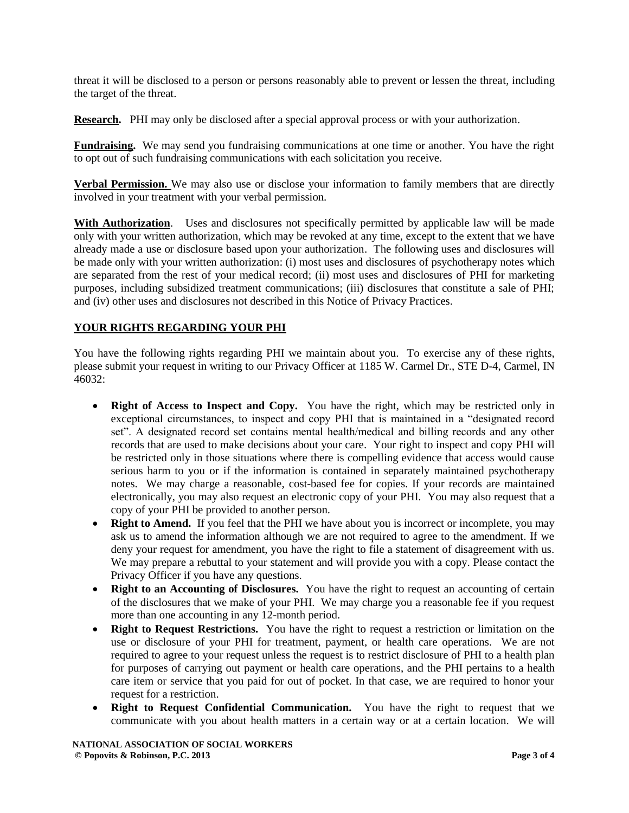threat it will be disclosed to a person or persons reasonably able to prevent or lessen the threat, including the target of the threat.

**Research.** PHI may only be disclosed after a special approval process or with your authorization.

**Fundraising.** We may send you fundraising communications at one time or another. You have the right to opt out of such fundraising communications with each solicitation you receive.

**Verbal Permission.** We may also use or disclose your information to family members that are directly involved in your treatment with your verbal permission.

**With Authorization**. Uses and disclosures not specifically permitted by applicable law will be made only with your written authorization, which may be revoked at any time, except to the extent that we have already made a use or disclosure based upon your authorization. The following uses and disclosures will be made only with your written authorization: (i) most uses and disclosures of psychotherapy notes which are separated from the rest of your medical record; (ii) most uses and disclosures of PHI for marketing purposes, including subsidized treatment communications; (iii) disclosures that constitute a sale of PHI; and (iv) other uses and disclosures not described in this Notice of Privacy Practices.

#### **YOUR RIGHTS REGARDING YOUR PHI**

You have the following rights regarding PHI we maintain about you. To exercise any of these rights, please submit your request in writing to our Privacy Officer at 1185 W. Carmel Dr., STE D-4, Carmel, IN 46032:

- **Right of Access to Inspect and Copy.** You have the right, which may be restricted only in exceptional circumstances, to inspect and copy PHI that is maintained in a "designated record set". A designated record set contains mental health/medical and billing records and any other records that are used to make decisions about your care. Your right to inspect and copy PHI will be restricted only in those situations where there is compelling evidence that access would cause serious harm to you or if the information is contained in separately maintained psychotherapy notes. We may charge a reasonable, cost-based fee for copies. If your records are maintained electronically, you may also request an electronic copy of your PHI. You may also request that a copy of your PHI be provided to another person.
- **Right to Amend.** If you feel that the PHI we have about you is incorrect or incomplete, you may ask us to amend the information although we are not required to agree to the amendment. If we deny your request for amendment, you have the right to file a statement of disagreement with us. We may prepare a rebuttal to your statement and will provide you with a copy. Please contact the Privacy Officer if you have any questions.
- **Right to an Accounting of Disclosures.** You have the right to request an accounting of certain of the disclosures that we make of your PHI. We may charge you a reasonable fee if you request more than one accounting in any 12-month period.
- **Right to Request Restrictions.** You have the right to request a restriction or limitation on the use or disclosure of your PHI for treatment, payment, or health care operations. We are not required to agree to your request unless the request is to restrict disclosure of PHI to a health plan for purposes of carrying out payment or health care operations, and the PHI pertains to a health care item or service that you paid for out of pocket. In that case, we are required to honor your request for a restriction.
- **Right to Request Confidential Communication.** You have the right to request that we communicate with you about health matters in a certain way or at a certain location. We will